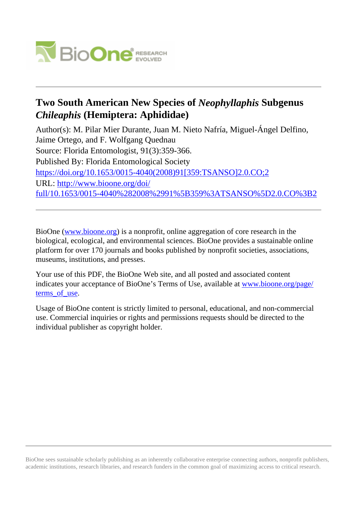

# **Two South American New Species of** *Neophyllaphis* **Subgenus** *Chileaphis* **(Hemiptera: Aphididae)**

Author(s): M. Pilar Mier Durante, Juan M. Nieto Nafría, Miguel-Ángel Delfino, Jaime Ortego, and F. Wolfgang Quednau Source: Florida Entomologist, 91(3):359-366. Published By: Florida Entomological Society [https://doi.org/10.1653/0015-4040\(2008\)91\[359:TSANSO\]2.0.CO;2](https://doi.org/10.1653/0015-4040(2008)91[359:TSANSO]2.0.CO;2) URL: [http://www.bioone.org/doi/](http://www.bioone.org/doi/full/10.1653/0015-4040%282008%2991%5B359%3ATSANSO%5D2.0.CO%3B2) [full/10.1653/0015-4040%282008%2991%5B359%3ATSANSO%5D2.0.CO%3B2](http://www.bioone.org/doi/full/10.1653/0015-4040%282008%2991%5B359%3ATSANSO%5D2.0.CO%3B2)

BioOne [\(www.bioone.org\)](http://www.bioone.org) is a nonprofit, online aggregation of core research in the biological, ecological, and environmental sciences. BioOne provides a sustainable online platform for over 170 journals and books published by nonprofit societies, associations, museums, institutions, and presses.

Your use of this PDF, the BioOne Web site, and all posted and associated content indicates your acceptance of BioOne's Terms of Use, available at [www.bioone.org/page/](http://www.bioone.org/page/terms_of_use) [terms\\_of\\_use.](http://www.bioone.org/page/terms_of_use)

Usage of BioOne content is strictly limited to personal, educational, and non-commercial use. Commercial inquiries or rights and permissions requests should be directed to the individual publisher as copyright holder.

BioOne sees sustainable scholarly publishing as an inherently collaborative enterprise connecting authors, nonprofit publishers, academic institutions, research libraries, and research funders in the common goal of maximizing access to critical research.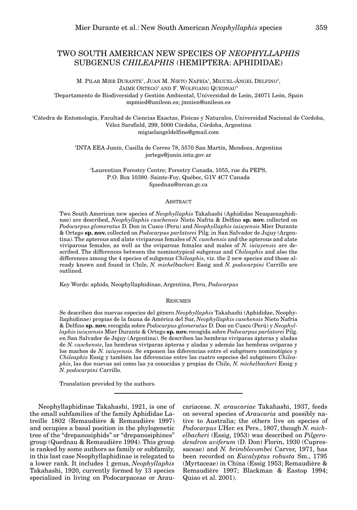# TWO SOUTH AMERICAN NEW SPECIES OF *NEOPHYLLAPHIS* SUBGENUS *CHILEAPHIS* (HEMIPTERA: APHIDIDAE)

M. PILAR MIER DURANTE', JUAN M. NIETO NAFRÍA', MIGUEL-ANGEL DELFINO $^2$ , JAIME ORTEGO<sup>3</sup> AND F. WOLFGANG QUEDNAU<sup>4</sup> 1 Departamento de Biodiversidad y Gestión Ambiental, Universidad de León, 24071 León, Spain mpmied@unileon.es; jmnien@unileon.es

2 Cátedra de Entomología, Facultad de Ciencias Exactas, Físicas y Naturales, Universidad Nacional de Córdoba, Vélez Sarsfield, 299, 5000 Córdoba, Córdoba, Argentina miguelangeldelfino@gmail.com

> 3 INTA EEA Junín, Casilla de Correo 78, 5570 San Martín, Mendoza, Argentina jortego@junin.inta.gov.ar

4 Laurentian Forestry Centre; Forestry Canada, 1055, rue du PEPS, P.O. Box 10380. Sainte-Foy, Québec, G1V 4C7 Canada fquednau@nrcan.gc.ca

# ABSTRACT

Two South American new species of *Neophyllaphis* Takahashi (Aphididae Neuquenaphidinae) are described, *Neophyllaphis cuschensis* Nieto Nafría & Delfino **sp. nov.** collected on *Podocarpus glomeratus* D. Don in Cusco (Peru) and *Neophyllaphis iuiuyensis* Mier Durante & Ortego **sp. nov.** collected on *Podocarpus parlatorei* Pilg. in San Salvador de Jujuy (Argentina). The apterous and alate viviparous females of *N. cuschensis* and the apterous and alate viviparous females, as well as the oviparous females and males of *N. iuiuyensis* are described. The differences between the nominotypical subgenus and *Chileaphis* and also the differences among the 4 species of subgenus *Chileaphis*, viz. the 2 new species and those already known and found in Chile, *N. michelbacheri* Essig and *N. podocarpini* Carrillo are outlined.

Key Words: aphids, Neophyllaphidinae, Argentina, Peru, *Podocarpus*

## RESUMEN

Se describen dos nuevas especies del género *Neophyllaphis* Takahashi (Aphididae, Neophyllaphidinae) propias de la fauna de América del Sur, *Neophyllaphis cuschensis* Nieto Nafría & Delfino **sp. nov.** recogida sobre *Podocarpus glomeratus* D. Don en Cusco (Perú) y *Neophyllaphis iuiuyensis* Mier Durante & Ortego **sp. nov.** recogida sobre *Podocarpus parlatorei* Pilg. en San Salvador de Jujuy (Argentina). Se describen las hembras vivíparas ápteras y aladas de *N. cuschensis*, las hembras vivíparas ápteras y aladas y además las hembras ovíparas y los machos de *N. iuiuyensis*. Se exponen las diferencias entre el subgénero nominotípico y *Chileaphis* Essig y también las diferencias entre las cuatro especies del subgénero *Chileaphis*, las dos nuevas así como las ya conocidas y propias de Chile, *N. michelbacheri* Essig y *N. podocarpini* Carrillo.

Translation provided by the authors.

Neophyllaphidinae Takahashi, 1921, is one of the small subfamilies of the family Aphididae Latreille 1802 (Remaudière & Remaudière 1997) and occupies a basal position in the phylogenetic tree of the "drepanosiphids" or "drepanosiphines" group (Quednau & Remaudière 1994). This group is ranked by some authors as family or subfamily, in this last case Neophyllaphidinae is relegated to a lower rank. It includes 1 genus, *Neophyllaphis* Takahashi, 1920, currently formed by 13 species specialized in living on Podocarpaceae or Araucariaceae. *N. araucariae* Takahashi, 1937, feeds on several species of *Araucaria* and possibly native to Australia; the others live on species of *Podocarpus* L'Her. ex Pers., 1807, though *N. michelbacheri* (Essig, 1953) was described on *Pilgerodendron uviferum* (D. Don) Florin, 1930 (Cupressaceae) and *N. brimblecombei* Carver, 1971, has been recorded on *Eucalyptus robusta* Sm., 1795 (Myrtaceae) in China (Essig 1953; Remaudière & Remaudière 1997; Blackman & Eastop 1994; Quiao et al. 2001).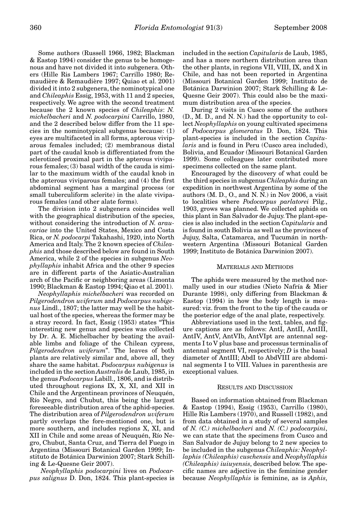Some authors (Russell 1966, 1982; Blackman & Eastop 1994) consider the genus to be homogenous and have not divided it into subgenera. Others (Hille Ris Lambers 1967; Carrillo 1980; Remaudière & Remaudière 1997; Quiao et al. 2001) divided it into 2 subgenera, the nominotypical one and *Chileaphis* Essig, 1953, with 11 and 2 species, respectively. We agree with the second treatment because the 2 known species of *Chileaphis*: *N. michelbacheri* and *N. podocarpini* Carrillo, 1980, and the 2 described below differ from the 11 species in the nominotypical subgenus because: (1) eyes are multifaceted in all forms, apterous viviparous females included; (2) membranous distal part of the caudal knob is differentiated from the sclerotized proximal part in the apterous viviparous females; (3) basal width of the cauda is similar to the maximum width of the caudal knob in the apterous viviparous females; and (4) the first abdominal segment has a marginal process (or small tuberculiform sclerite) in the alate viviparous females (and other alate forms).

The division into 2 subgenera coincides well with the geographical distribution of the species, without considering the introduction of *N. araucariae* into the United States, Mexico and Costa Rica, or *N. podocarpi* Takahashi, 1920, into North America and Italy. The 2 known species of *Chileaphis* and those described below are found in South America, while 2 of the species in subgenus *Neophyllaphis* inhabit Africa and the other 9 species are in different parts of the Asiatic-Australian arch of the Pacific or neighboring areas (Limonta 1990; Blackman & Eastop 1994; Qiao et al. 2001).

*Neophyllaphis michelbacheri* was recorded on *Pilgerodendron uviferum* and *Podocarpus nubigenus* Lindl., 1807; the latter may well be the habitual host of the species, whereas the former may be a stray record. In fact, Essig (1953) states "This interesting new genus and species was collected by Dr. A. E. Michelbacher by beating the available limbs and foliage of the Chilean cypress, *Pilgerodendron uviferum*". The leaves of both plants are relatively similar and, above all, they share the same habitat. *Podocarpus nubigenus* is included in the section *Australis* de Laub, 1985, in the genus *Podocarpus* Labill., 1806, and is distributed throughout regions IX, X, XI, and XII in Chile and the Argentinean provinces of Neuquén, Río Negro, and Chubut, this being the largest foreseeable distribution area of the aphid-species. The distribution area of *Pilgerodendron uviferum* partly overlaps the fore-mentioned one, but is more southern, and includes regions X, XI, and XII in Chile and some areas of Neuquén, Río Negro, Chubut, Santa Cruz, and Tierra del Fuego in Argentina (Missouri Botanical Garden 1999; Instituto de Botánica Darwinion 2007; Stark Schilling & Le-Quesne Geir 2007).

*Neophyllaphis podocarpini* lives on *Podocarpus salignus* D. Don, 1824. This plant-species is included in the section *Capitularis* de Laub, 1985, and has a more northern distribution area than the other plants, in regions VII, VIII, IX, and X in Chile, and has not been reported in Argentina (Missouri Botanical Garden 1999; Instituto de Botánica Darwinion 2007; Stark Schilling & Le-Quesne Geir 2007). This could also be the maximum distribution area of the species.

During 2 visits in Cusco some of the authors (D., M. D., and N. N.) had the opportunity to collect *Neophyllaphis* on young cultivated specimens of *Podocarpus glomeratus* D. Don, 1824. This plant-species is included in the section *Capitularis* and is found in Peru (Cusco area included), Bolivia, and Ecuador (Missouri Botanical Garden 1999). Some colleagues later contributed more specimens collected on the same plant.

Encouraged by the discovery of what could be the third species in subgenus *Chileaphis* during an expedition in northwest Argentina by some of the authors (M. D., O., and N. N.) in Nov 2006, a visit to localities where *Podocarpus parlatorei* Pilg., 1903, grows was planned. We collected aphids on this plant in San Salvador de Jujuy. The plant-species is also included in the section *Capitularis* and is found in south Bolivia as well as the provinces of Jujuy, Salta, Catamarca, and Tucumán in northwestern Argentina (Missouri Botanical Garden 1999; Instituto de Botánica Darwinion 2007).

#### MATERIALS AND METHODS

The aphids were measured by the method normally used in our studies (Nieto Nafría & Mier Durante 1998), only differing from Blackman & Eastop (1994) in how the body length is measured: viz. from the front to the tip of the cauda or the posterior edge of the anal plate, respectively.

Abbreviations used in the text, tables, and figure captions are as follows: AntI, AntII, AntIII, AntIV, AntV, AntVIb, AntVIpt are antennal segments I to V plus base and processus terminalis of antennal segment VI, respectively; *D* is the basal diameter of AntIII; AbdI to AbdVIII are abdominal segments I to VIII. Values in parenthesis are exceptional values.

# RESULTS AND DISCUSSION

Based on information obtained from Blackman & Eastop (1994), Essig (1953), Carrillo (1980), Hille Ris Lambers (1970), and Russell (1982), and from data obtained in a study of several samples of *N. (C.) michelbacheri* and *N. (C.) podocarpini*, we can state that the specimens from Cusco and San Salvador de Jujuy belong to 2 new species to be included in the subgenus *Chileaphis: Neophyllaphis (Chileaphis) cuschensis* and *Neophyllaphis (Chileaphis) iuiuyensis*, described below. The specific names are adjective in the feminine gender because *Neophyllaphis* is feminine, as is *Aphis*,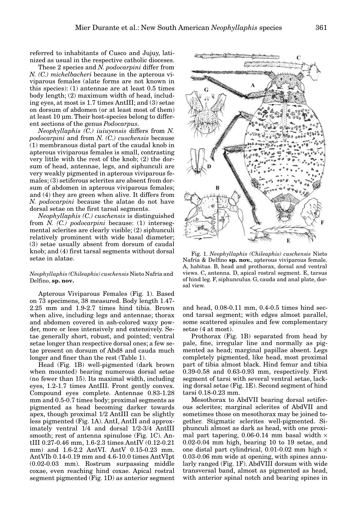referred to inhabitants of Cusco and Jujuy, latinized as usual in the respective catholic dioceses.

These 2 species and *N. podocarpini* differ from *N. (C.) michelbacheri* because in the apterous viviparous females (alate forms are not known in this species): (1) antennae are at least 0.5 times body length; (2) maximum width of head, including eyes, at most is 1.7 times AntIII; and (3) setae on dorsum of abdomen (or at least most of them) at least 10 µm. Their host-species belong to different sections of the genus *Podocarpus*.

*Neophyllaphis (C.) iuiuyensis* differs from *N. podocarpini* and from *N. (C.) cuschensis* because (1) membranous distal part of the caudal knob in apterous viviparous females is small, contrasting very little with the rest of the knob; (2) the dorsum of head, antennae, legs, and siphunculi are very weakly pigmented in apterous viviparous females; (3) setiferous sclerites are absent from dorsum of abdomen in apterous viviparous females; and (4) they are green when alive. It differs from *N. podocarpini* because the alatae do not have dorsal setae on the first tarsal segments.

*Neophyllaphis (C.) cuschensis* is distinguished from *N. (C.) podocarpini* because: (1) intersegmental sclerites are clearly visible; (2) siphunculi relatively prominent with wide basal diameter; (3) setae usually absent from dorsum of caudal knob; and (4) first tarsal segments without dorsal setae in alatae.

# *Neophyllaphis (Chileaphis) cuschensis* Nieto Nafría and Delfino, **sp. nov.**

Apterous Viviparous Females (Fig. 1). Based on 73 specimens, 38 measured. Body length 1.47- 2.25 mm and 1.9-2.7 times hind tibia. Brown when alive, including legs and antennae; thorax and abdomen covered in ash-colored waxy powder, more or less intensively and extensively. Setae generally short, robust, and pointed; ventral setae longer than respective dorsal ones; a few setae present on dorsum of Abd8 and cauda much longer and finer than the rest (Table 1).

Head (Fig. 1B) well-pigmented (dark brown when mounted) bearing numerous dorsal setae (no fewer than 15). Its maximal width, including eyes, 1.2-1.7 times AntIII. Front gently convex. Compound eyes complete. Antennae 0.83-1.28 mm and 0.5-0.7 times body; proximal segments as pigmented as head becoming darker towards apex, though proximal 1/2 AntIII can be slightly less pigmented (Fig. 1A). AntI, AntII and approximately ventral 1/4 and dorsal 1/2-3/4 AntIII smooth; rest of antenna spinulose (Fig. 1C). AntIII 0.27-0.46 mm, 1.6-2.3 times AntIV (0.12-0.21 mm) and 1.6-2.2 AntVI. AntV 0.15-0.23 mm. AntVIb 0.14-0.19 mm and 4.6-10.0 times AntVIpt (0.02-0.03 mm). Rostrum surpassing middle coxae, even reaching hind coxae. Apical rostral segment pigmented (Fig. 1D) as anterior segment



Fig. 1. *Neophyllaphis (Chileaphis) cuschensis* Nieto Nafría & Delfino **sp. nov.**, apterous viviparous female. A, habitus. B, head and prothorax, dorsal and ventral views. C, antenna. D, apical rostral segment. E, tarsus of hind leg. F, siphunculus. G, cauda and anal plate, dorsal view.

and head, 0.08-0.11 mm, 0.4-0.5 times hind second tarsal segment; with edges almost parallel, some scattered spinules and few complementary setae (4 at most).

Prothorax (Fig. 1B) separated from head by pale, fine, irregular line and normally as pigmented as head; marginal papillae absent. Legs completely pigmented, like head, most proximal part of tibia almost black. Hind femur and tibia 0.39-0.58 and 0.63-0.93 mm, respectively. First segment of tarsi with several ventral setae, lacking dorsal setae (Fig. 1E). Second segment of hind tarsi 0.18-0.23 mm.

Mesothorax to AbdVII bearing dorsal setiferous sclerites; marginal sclerites of AbdVII and sometimes those on mesothorax may be joined together. Stigmatic sclerites well-pigmented. Siphunculi almost as dark as head, with one proximal part tapering, 0.06-0.14 mm basal width  $\times$ 0.02-0.04 mm high, bearing 10 to 19 setae, and one distal part cylindrical,  $0.01-0.02$  mm high  $\times$ 0.03-0.06 mm wide at opening, with spines annularly ranged (Fig. 1F). AbdVIII dorsum with wide transversal band, almost as pigmented as head, with anterior spinal notch and bearing spines in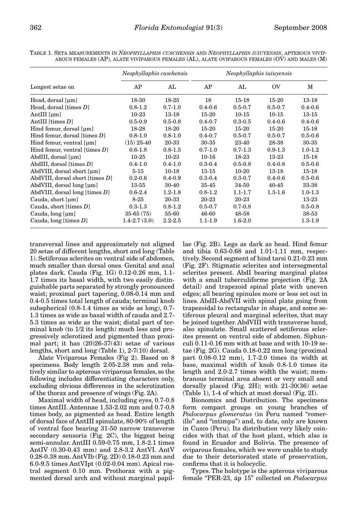Longest setae on *Neophyllaphis cuschensis Neophyllaphis iuiuyensis* AP AL AP AL OV M Head, dorsal [µm] 18-30 18-25 18 15-18 15-20 13-18 Head, dorsal [times *D*] 0.8-1.2 0.7-1.0 0.4-0.6 0.5-0.7 0.5-0.7 0.4-0.6 AntIII [µm] 10-23 13-18 15-20 10-15 10-15 13-15 AntIII [times *D*] 0.5-0.9 0.5-0.8 0.4-0.7 0.3-0.5 0.4-0.6 0.4-0.6 Hind femur, dorsal [µm] 18-28 18-20 15-20 15-20 15-20 15-18 Hind femur, dorsal [times *D*] 0.8-1.0 0.8-1.0 0.4-0.7 0.5-0.7 0.5-0.7 0.5-0.6 Hind femur, ventral [µm] (15) 25-40 20-33 30-35 23-40 28-38 30-35 Hind femur, ventral [times *D*] 0.6-1.8 0.8-1.5 0.7-1.0 0.7-1.3 0.9-1.3 1.0-1.2 AbdIII, dorsal [µm] 10-25 10-23 10-16 18-23 13-23 15-18 AbdIII, dorsal [times *D*] 0.4-1.0 0.4-1.0 0.3-0.4 0.5-0.8 0.4-0.8 0.5-0.6 AbdVIII, dorsal short [µm] 5-15 10-18 13-15 10-20 13-18 15-18 AbdVIII, dorsal short [times *D*] 0.2-0.6 0.4-0.9 0.3-0.4 0.3-0.7 0.4-0.6 0.5-0.6 AbdVIII, dorsal long [µm] 13-55 30-40 35-45 34-50 40-45 33-38 AbdVIII, dorsal long [times *D*] 0.6-2.4 1.2-1.8 0.8-1.2 1.1-1.7 1.3-1.6 1.0-1.3  $\text{Cauda, short [µm]}$   $\text{Cauda, short [times D]}$   $\text{Cauda, short [times D]}$   $\text{Cauda, short [times D]}$   $\text{Cayda, short [times D]}$   $\text{Cayda, short [times D]}$   $\text{Cayda, short [times D]}$ Cauda, short [times *D*] 0.3-1.3 0.8-1.2 0.5-0.7 0.7-0.8 0.5-0.8 Cauda, long [µm] 35-65 (75) 55-60 46-60 48-58 38-53 Cauda, long [times *D*] 1.4-2.7 (3.0) 2.2-2.5 1.1-1.9 1.6-2.0 1.3-1.9

TABLE 1. SETA MEASUREMENTS IN *NEOPHYLLAPHIS CUSCHENSIS* AND *NEOPHYLLAPHIS IUIUYENSIS*, APTEROUS VIVIP-AROUS FEMALES (AP), ALATE VIVIPAROUS FEMALES (AL), ALATE OVIPAROUS FEMALES (OV) AND MALES (M)

transversal lines and approximately not aligned 20 setae of different lengths, short and long (Table 1). Setiferous sclerites on ventral side of abdomen, much smaller than dorsal ones. Genital and anal plates dark. Cauda (Fig. 1G) 0.12-0.26 mm, 1.1- 1.7 times its basal width, with two easily distinguishable parts separated by strongly pronounced waist; proximal part tapering, 0.08-0.14 mm and 0.4-0.5 times total length of cauda; terminal knob subspherical (0.8-1.4 times as wide as long), 0.7- 1.3 times as wide as basal width of cauda and 2.7- 5.3 times as wide as the waist; distal part of terminal knob (to 1/2 its length) much less and progressively sclerotized and pigmented than proximal part; it has (20)26-37(43) setae of various lengths, short and long (Table 1), 2-7(10) dorsal.

Alate Viviparous Females (Fig 2). Based on 8 specimens. Body length 2.05-2.38 mm and relatively similar to apterous viviparous females, so the following includes differentiating characters only, excluding obvious differences in the sclerotization of the thorax and presence of wings (Fig. 2A).

Maximal width of head, including eyes, 0.7-0.8 times AntIII. Antennae 1.53-2.02 mm and 0.7-0.8 times body, as pigmented as head. Entire length of dorsal face of AntIII spinulate, 80-90% of length of ventral face bearing 31-50 narrow transverse secondary sensoria (Fig. 2C), the biggest being semi-annular. AntIII 0.59-0.75 mm, 1.8-2.1 times AntIV (0.30-0.43 mm) and 2.8-3.2 AntVI. AntV 0.28-0.38 mm. AntVIb (Fig. 2D) 0.18-0.23 mm and 6.0-9.5 times AntVIpt (0.02-0.04 mm). Apical rostral segment 0.10 mm. Prothorax with a pigmented dorsal arch and without marginal papil-

lae (Fig. 2B). Legs as dark as head. Hind femur and tibia 0.63-0.68 and 1.01-1.11 mm, respectively. Second segment of hind tarsi 0.21-0.23 mm (Fig. 2F). Stigmatic sclerites and intersegmental sclerites present. AbdI bearing marginal plates with a small tuberculiforme projection (Fig. 2A detail) and trapezoid spinal plate with uneven edges; all bearing spinules more or less set out in lines. AbdII-AbdVII with spinal plate going from trapezoidal to rectangular in shape, and some setiferous pleural and marginal sclerites, that may be joined together. AbdVIII with transverse band, also spinulate. Small scattered setiferous sclerites present on ventral side of abdomen. Siphunculi 0.11-0.16 mm with at base and with 10-19 setae (Fig. 2G). Cauda 0.18-0.22 mm long (proximal part 0.08-0.12 mm), 1.7-2.0 times its width at base, maximal width of knob 0.8-1.0 times its length and 2.0-2.7 times width the waist; membranous terminal area absent or very small and dorsally placed (Fig. 2H); with 21-30(36) setae (Table 1), 1-4 of which at most dorsal (Fig. 2I).

Bionomics and Distribution. The specimens form compact groups on young branches of *Podocarpus glomeratus* (in Peru named "romerillo" and "intimpa") and, to date, only are known in Cusco (Peru). Its distribution very likely coincides with that of the host plant, which also is found in Ecuador and Bolivia. The presence of oviparous females, which we were unable to study due to their deteriorated state of preservation, confirms that it is holocyclic.

Types. The holotype is the apterous viviparous female "PER-23, áp 15" collected on *Podocarpus*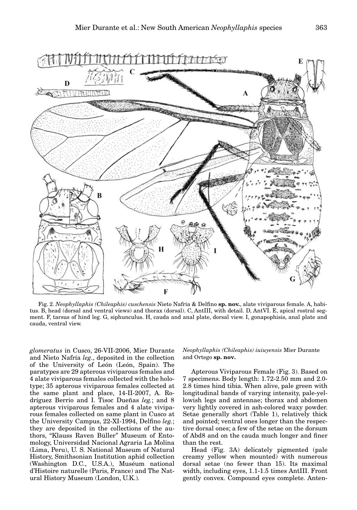

Fig. 2. *Neophyllaphis (Chileaphis) cuschensis* Nieto Nafría & Delfino **sp. nov.**, alate viviparous female. A, habitus. B, head (dorsal and ventral views) and thorax (dorsal). C, AntIII, with detail. D, AntVI. E, apical rostral segment. F, tarsus of hind leg. G, siphunculus. H, cauda and anal plate, dorsal view. I, gonapophisis, anal plate and cauda, ventral view.

*glomeratus* in Cusco, 26-VII-2006, Mier Durante and Nieto Nafría *leg*., deposited in the collection of the University of León (León, Spain). The paratypes are 29 apterous viviparous females and 4 alate viviparous females collected with the holotype; 35 apterous viviparous females collected at the same plant and place, 14-II-2007, A. Rodríguez Berrio and I. Tisoc Dueñas *leg.*; and 8 apterous viviparous females and 4 alate viviparous females collected on same plant in Cusco at the University Campus, 22-XI-1994, Delfino *leg.*; they are deposited in the collections of the authors, "Klauss Raven Büller" Museum of Entomology, Universidad Nacional Agraria La Molina (Lima, Peru), U. S. National Museum of Natural History, Smithsonian Institution aphid collection (Washington D.C., U.S.A.), Muséum national d'Histoire naturelle (Paris, France) and The Natural History Museum (London, U.K.).

*Neophyllaphis (Chileaphis) iuiuyensis* Mier Durante and Ortego **sp. nov.**

Apterous Viviparous Female (Fig. 3). Based on 7 specimens. Body length: 1.72-2.50 mm and 2.0- 2.8 times hind tibia. When alive, pale green with longitudinal bands of varying intensity, pale-yellowish legs and antennae; thorax and abdomen very lightly covered in ash-colored waxy powder. Setae generally short (Table 1), relatively thick and pointed; ventral ones longer than the respective dorsal ones; a few of the setae on the dorsum of Abd8 and on the cauda much longer and finer than the rest.

Head (Fig. 3A) delicately pigmented (pale creamy yellow when mounted) with numerous dorsal setae (no fewer than 15). Its maximal width, including eyes, 1.1-1.5 times AntIII. Front gently convex. Compound eyes complete. Anten-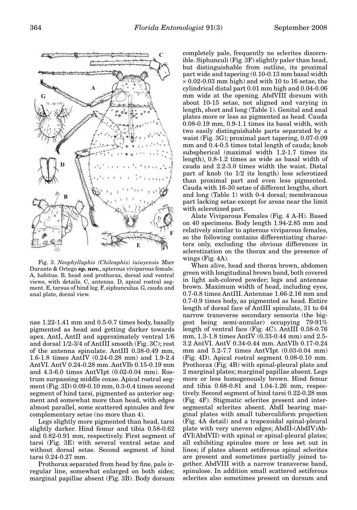

Fig. 3. *Neophyllaphis (Chileaphis) iuiuyensis* Mier Durante & Ortego **sp. nov.**, apterous viviparous female. A, habitus. B, head and prothorax, dorsal and ventral views, with details. C, antenna. D, apical rostral segment. E, tarsus of hind leg. F, siphunculus. G, cauda and anal plate, dorsal view.

nae 1.22-1.41 mm and 0.5-0.7 times body, basally pigmented as head and getting darker towards apex. AntI, AntII and approximately ventral 1/6 and dorsal 1/2-3/4 of AntIII smooth (Fig. 3C); rest of the antenna spinulate. AntIII 0.38-0.49 mm, 1.6-1.8 times AntIV (0.24-0.28 mm) and 1.9-2.4 AntVI. AntV 0.24-0.28 mm. AntVIb 0.15-0.19 mm and 4.3-6.0 times AntVIpt (0.02-0.04 mm). Rostrum surpassing middle coxae. Apical rostral segment (Fig. 3D) 0.09-0.10 mm, 0.3-0.4 times second segment of hind tarsi, pigmented as anterior segment and somewhat more than head, with edges almost parallel, some scattered spinules and few complementary setae (no more than 4).

Legs slightly more pigmented than head, tarsi slightly darker. Hind femur and tibia 0.58-0.62 and 0.82-0.91 mm, respectively. First segment of tarsi (Fig. 3E) with several ventral setae and without dorsal setae. Second segment of hind tarsi 0.24-0.27 mm.

Prothorax separated from head by fine, pale irregular line, somewhat enlarged on both sides; marginal papillae absent (Fig. 3B). Body dorsum

completely pale, frequently no sclerites discernible. Siphunculi (Fig. 3F) slightly paler than head, but distinguishable from outline, its proximal part wide and tapering (0.10-0.13 mm basal width  $\times$  0.02-0.03 mm high) and with 10 to 16 setae, the cylindrical distal part 0.01 mm high and 0.04-0.06 mm wide at the opening. AbdVIII dorsum with about 10-15 setae, not aligned and varying in length, short and long (Table 1). Genital and anal plates more or less as pigmented as head. Cauda 0.08-0.19 mm, 0.9-1.1 times its basal width, with two easily distinguishable parts separated by a waist (Fig. 3G); proximal part tapering, 0.07-0.09 mm and 0.4-0.5 times total length of cauda; knob subspherical (maximal width 1.2-1.7 times its length), 0.8-1.2 times as wide as basal width of cauda and 2.2-3.0 times width the waist. Distal part of knob (to 1/2 its length) less sclerotized than proximal part and even less pigmented. Cauda with 16-30 setae of different lengths, short and long (Table 1) with 0-4 dorsal; membranous part lacking setae except for areas near the limit with sclerotized part.

Alate Viviparous Females (Fig. 4 A-H). Based on 40 specimens. Body length 1.94-2.85 mm and relatively similar to apterous viviparous females, so the following contains differentiating characters only, excluding the obvious differences in sclerotization on the thorax and the presence of wings (Fig. 4A).

When alive, head and thorax brown, abdomen green with longitudinal brown band, both covered in light ash-colored powder; legs and antennae brown. Maximum width of head, including eyes, 0.7-0.8 times AntIII. Antennae 1.66-2.16 mm and 0.7-0.9 times body, as pigmented as head. Entire length of dorsal face of AntIII spinulate, 31 to 64 narrow transverse secondary sensoria (the biggest being semi-annular) occupying 79-91% length of ventral face (Fig. 4C). AntIII 0.58-0.76 mm, 1.3-1.8 times AntIV (0.33-0.44 mm) and 2.5- 3.2 AntVI. AntV 0.34-0.44 mm. AntVIb 0.17-0.24 mm and 5.2-7.7 times AntVIpt (0.03-0.04 mm) (Fig. 4D). Apical rostral segment 0.08-0.10 mm. Prothorax (Fig. 4B) with spinal-pleural plate and 2 marginal plates; marginal papillae absent. Legs more or less homogenously brown. Hind femur and tibia 0.68-0.81 and 1.04-1.26 mm, respectively. Second segment of hind tarsi 0.22-0.28 mm (Fig. 4F). Stigmatic sclerites present and intersegmental sclerites absent. AbdI bearing marginal plates with small tuberculiform projection (Fig. 4A detail) and a trapezoidal spinal-pleural plate with very uneven edges; AbdII-(AbdIV)AbdVI(AbdVII) with spinal or spinal-pleural plates; all exhibiting spinules more or less set out in lines; if plates absent setiferous spinal sclerites are present and sometimes partially joined together. AbdVIII with a narrow transverse band, spinulose. In addition small scattered setiferous sclerites also sometimes present on dorsum and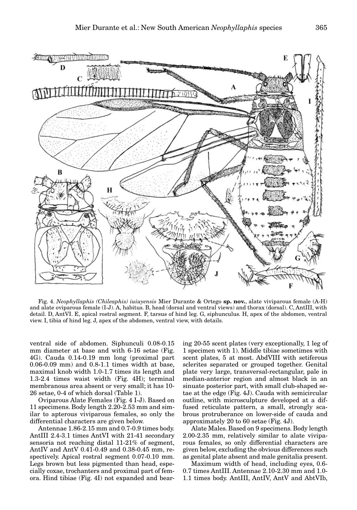

Fig. 4. *Neophyllaphis (Chileaphis) iuiuyensis* Mier Durante & Ortego **sp. nov.**, alate viviparous female (A-H) and alate oviparous female (I-J). A, habitus. B, head (dorsal and ventral views) and thorax (dorsal). C, AntIII, with detail. D, AntVI. E, apical rostral segment. F, tarsus of hind leg. G, siphunculus. H, apex of the abdomen, ventral view. I, tibia of hind leg. J, apex of the abdomen, ventral view, with details.

ventral side of abdomen. Siphunculi 0.08-0.15 mm diameter at base and with 6-16 setae (Fig. 4G). Cauda 0.14-0.19 mm long (proximal part 0.06-0.09 mm) and 0.8-1.1 times width at base, maximal knob width 1.0-1.7 times its length and 1.3-2.4 times waist width (Fig. 4H); terminal membranous area absent or very small; it has 10- 26 setae, 0-4 of which dorsal (Table 1).

Oviparous Alate Females (Fig. 4 I-J). Based on 11 specimens. Body length 2.20-2.53 mm and similar to apterous viviparous females, so only the differential characters are given below.

Antennae 1.86-2.15 mm and 0.7-0.9 times body. AntIII 2.4-3.1 times AntVI with 21-41 secondary sensoria not reaching distal 11-21% of segment, AntIV and AntV 0.41-0.49 and 0.38-0.45 mm, respectively. Apical rostral segment 0.07-0.10 mm. Legs brown but less pigmented than head, especially coxae, trochanters and proximal part of femora. Hind tibiae (Fig. 4I) not expanded and bearing 20-55 scent plates (very exceptionally, 1 leg of 1 specimen with 1). Middle tibiae sometimes with scent plates, 5 at most. AbdVIII with setiferous sclerites separated or grouped together. Genital plate very large, transversal-rectangular, pale in median-anterior region and almost black in an sinuate posterior part, with small club-shaped setae at the edge (Fig. 4J). Cauda with semicircular outline, with microsculpture developed at a diffused reticulate pattern, a small, strongly scabrous protruberance on lower-side of cauda and approximately 20 to 60 setae (Fig. 4J).

Alate Males. Based on 9 specimens. Body length 2.00-2.35 mm, relatively similar to alate viviparous females, so only differential characters are given below, excluding the obvious differences such as genital plate absent and male genitalia present.

Maximum width of head, including eyes, 0.6- 0.7 times AntIII. Antennae 2.10-2.30 mm and 1.0- 1.1 times body. AntIII, AntIV, AntV and AbtVIb,